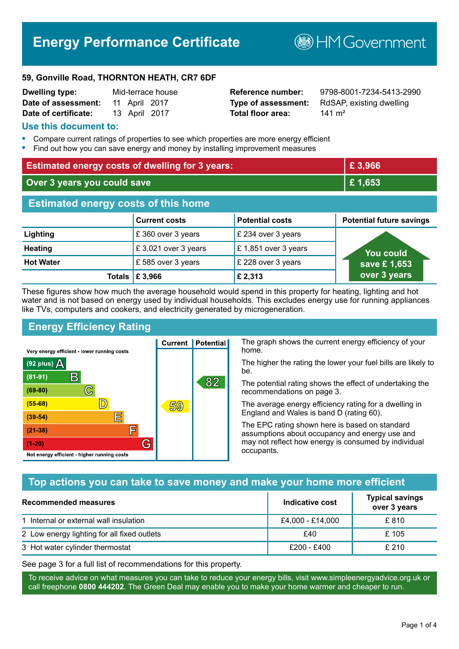# **Energy Performance Certificate**

**B**HMGovernment

#### **59, Gonville Road, THORNTON HEATH, CR7 6DF**

| Dwelling type:       |               | Mid-terrace house |
|----------------------|---------------|-------------------|
| Date of assessment:  | 11 April 2017 |                   |
| Date of certificate: | 13 April 2017 |                   |

# **Total floor area:** 141 m<sup>2</sup>

**Reference number:** 9798-8001-7234-5413-2990 **Type of assessment:** RdSAP, existing dwelling

#### **Use this document to:**

- **•** Compare current ratings of properties to see which properties are more energy efficient
- **•** Find out how you can save energy and money by installing improvement measures

| <b>Estimated energy costs of dwelling for 3 years:</b> |                      | £3,966                 |                                 |
|--------------------------------------------------------|----------------------|------------------------|---------------------------------|
| Over 3 years you could save                            |                      | £1,653                 |                                 |
| <b>Estimated energy costs of this home</b>             |                      |                        |                                 |
|                                                        | <b>Current costs</b> | <b>Potential costs</b> | <b>Potential future savings</b> |
| Lighting                                               | £360 over 3 years    | £ 234 over 3 years     |                                 |
| <b>Heating</b>                                         | £3,021 over 3 years  | £1,851 over 3 years    | <b>You could</b>                |
| <b>Hot Water</b>                                       | £585 over 3 years    | £228 over 3 years      | save £1,653                     |
| Totals                                                 | £ 3,966              | £2,313                 | over 3 years                    |

These figures show how much the average household would spend in this property for heating, lighting and hot water and is not based on energy used by individual households. This excludes energy use for running appliances like TVs, computers and cookers, and electricity generated by microgeneration.

**Current | Potential** 

59

# **Energy Efficiency Rating**

 $\mathbb{C}$ 

 $\mathbb{D}$ 

E

庐

G

Very energy efficient - lower running costs

R

Not energy efficient - higher running costs

(92 plus)  $\Delta$ 

 $(81 - 91)$ 

 $(69 - 80)$ 

 $(55-68)$ 

 $(39 - 54)$ 

 $(21-38)$ 

 $(1-20)$ 

The graph shows the current energy efficiency of your home.

The higher the rating the lower your fuel bills are likely to be.

The potential rating shows the effect of undertaking the recommendations on page 3.

The average energy efficiency rating for a dwelling in England and Wales is band D (rating 60).

The EPC rating shown here is based on standard assumptions about occupancy and energy use and may not reflect how energy is consumed by individual occupants.

# **Top actions you can take to save money and make your home more efficient**

82

| Recommended measures                        | Indicative cost  | <b>Typical savings</b><br>over 3 years |
|---------------------------------------------|------------------|----------------------------------------|
| 1 Internal or external wall insulation      | £4,000 - £14,000 | £ 810                                  |
| 2 Low energy lighting for all fixed outlets | £40              | £ 105                                  |
| 3 Hot water cylinder thermostat             | £200 - £400      | £210                                   |

See page 3 for a full list of recommendations for this property.

To receive advice on what measures you can take to reduce your energy bills, visit www.simpleenergyadvice.org.uk or call freephone **0800 444202**. The Green Deal may enable you to make your home warmer and cheaper to run.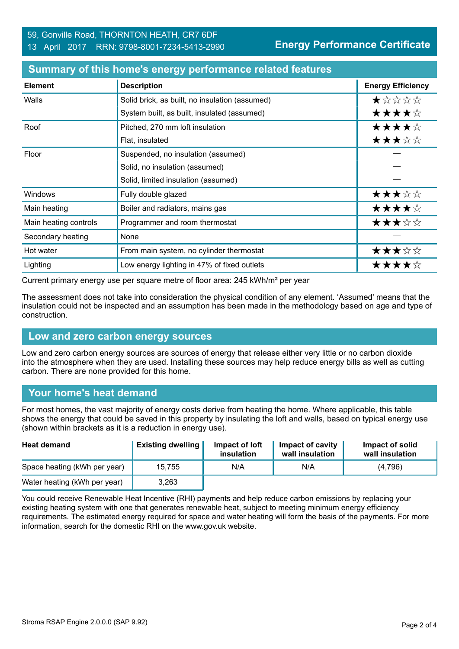| <b>Element</b>        | <b>Description</b>                             | <b>Energy Efficiency</b> |
|-----------------------|------------------------------------------------|--------------------------|
| Walls                 | Solid brick, as built, no insulation (assumed) | ★☆☆☆☆                    |
|                       | System built, as built, insulated (assumed)    | ★★★★☆                    |
| Roof                  | Pitched, 270 mm loft insulation                | ★★★★☆                    |
|                       | Flat, insulated                                | ★★★☆☆                    |
| Floor                 | Suspended, no insulation (assumed)             |                          |
|                       | Solid, no insulation (assumed)                 |                          |
|                       | Solid, limited insulation (assumed)            |                          |
| Windows               | Fully double glazed                            | ★★★☆☆                    |
| Main heating          | Boiler and radiators, mains gas                | ★★★★☆                    |
| Main heating controls | Programmer and room thermostat                 | ★★★☆☆                    |
| Secondary heating     | None                                           |                          |
| Hot water             | From main system, no cylinder thermostat       | ★★★☆☆                    |
| Lighting              | Low energy lighting in 47% of fixed outlets    | ★★★★☆                    |

#### **Summary of this home's energy performance related features**

Current primary energy use per square metre of floor area: 245 kWh/m² per year

The assessment does not take into consideration the physical condition of any element. 'Assumed' means that the insulation could not be inspected and an assumption has been made in the methodology based on age and type of construction.

#### **Low and zero carbon energy sources**

Low and zero carbon energy sources are sources of energy that release either very little or no carbon dioxide into the atmosphere when they are used. Installing these sources may help reduce energy bills as well as cutting carbon. There are none provided for this home.

# **Your home's heat demand**

For most homes, the vast majority of energy costs derive from heating the home. Where applicable, this table shows the energy that could be saved in this property by insulating the loft and walls, based on typical energy use (shown within brackets as it is a reduction in energy use).

| <b>Heat demand</b>           | <b>Existing dwelling</b> | Impact of loft<br>insulation | Impact of cavity<br>wall insulation | Impact of solid<br>wall insulation |
|------------------------------|--------------------------|------------------------------|-------------------------------------|------------------------------------|
| Space heating (kWh per year) | 15.755                   | N/A                          | N/A                                 | (4.796)                            |
| Water heating (kWh per year) | 3,263                    |                              |                                     |                                    |

You could receive Renewable Heat Incentive (RHI) payments and help reduce carbon emissions by replacing your existing heating system with one that generates renewable heat, subject to meeting minimum energy efficiency requirements. The estimated energy required for space and water heating will form the basis of the payments. For more information, search for the domestic RHI on the www.gov.uk website.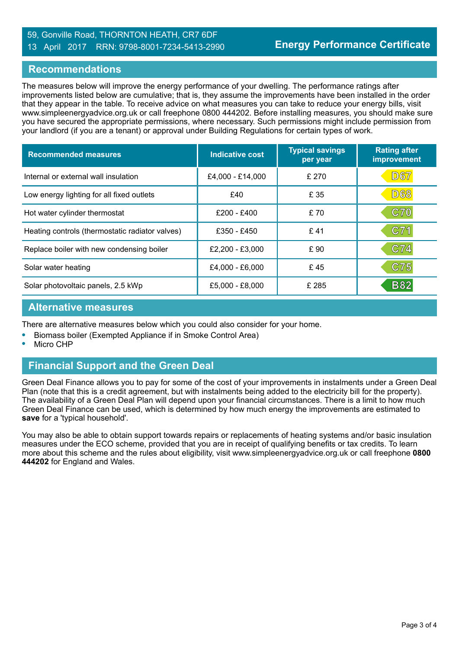#### 59, Gonville Road, THORNTON HEATH, CR7 6DF 13 April 2017 RRN: 9798-8001-7234-5413-2990

#### **Recommendations**

The measures below will improve the energy performance of your dwelling. The performance ratings after improvements listed below are cumulative; that is, they assume the improvements have been installed in the order that they appear in the table. To receive advice on what measures you can take to reduce your energy bills, visit www.simpleenergyadvice.org.uk or call freephone 0800 444202. Before installing measures, you should make sure you have secured the appropriate permissions, where necessary. Such permissions might include permission from your landlord (if you are a tenant) or approval under Building Regulations for certain types of work.

| <b>Recommended measures</b>                     | Indicative cost   | <b>Typical savings</b><br>per year | <b>Rating after</b><br>improvement |
|-------------------------------------------------|-------------------|------------------------------------|------------------------------------|
| Internal or external wall insulation            | £4,000 - £14,000  | £270                               | <b>D67</b>                         |
| Low energy lighting for all fixed outlets       | £40               | £ 35                               | <b>D68</b>                         |
| Hot water cylinder thermostat                   | $£200 - £400$     | £70                                | C70                                |
| Heating controls (thermostatic radiator valves) | £350 - £450       | £41                                | C71                                |
| Replace boiler with new condensing boiler       | $£2,200 - £3,000$ | £90                                | C74                                |
| Solar water heating                             | £4,000 - £6,000   | £45                                | C75                                |
| Solar photovoltaic panels, 2.5 kWp              | £5.000 - £8.000   | £ 285                              | <b>B82</b>                         |

#### **Alternative measures**

There are alternative measures below which you could also consider for your home.

- **•** Biomass boiler (Exempted Appliance if in Smoke Control Area)
- **•** Micro CHP

# **Financial Support and the Green Deal**

Green Deal Finance allows you to pay for some of the cost of your improvements in instalments under a Green Deal Plan (note that this is a credit agreement, but with instalments being added to the electricity bill for the property). The availability of a Green Deal Plan will depend upon your financial circumstances. There is a limit to how much Green Deal Finance can be used, which is determined by how much energy the improvements are estimated to **save** for a 'typical household'.

You may also be able to obtain support towards repairs or replacements of heating systems and/or basic insulation measures under the ECO scheme, provided that you are in receipt of qualifying benefits or tax credits. To learn more about this scheme and the rules about eligibility, visit www.simpleenergyadvice.org.uk or call freephone **0800 444202** for England and Wales.